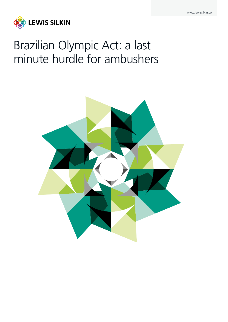

# Brazilian Olympic Act: a last minute hurdle for ambushers

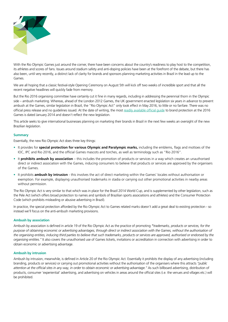

With the Rio Olympic Games just around the corner, there have been concerns about the country's readiness to play host to the competition. its athletes and scores of fans. Issues around stadium safety and anti-doping policies have been at the forefront of the debate, but there has also been, until very recently, a distinct lack of clarity for brands and sponsors planning marketing activities in Brazil in the lead up to the Games.

We are all hoping that a classic festival-style Opening Ceremony on August 5th will kick off two weeks of incredible sport and that all the recent negative headlines will quickly fade from memory.

But the Rio 2016 organising committee have certainly cut it fine in many regards, including in addressing the perennial thorn in the Olympic side – ambush marketing. Whereas, ahead of the London 2012 Games, the UK government enacted legislation six years in advance to prevent ambush at the Games, similar legislation in Brazil, the "Rio Olympic Act" only took effect in May 2016, to little or no fanfare. There was no official press release and no guidelines issued. At the date of writing, the most [readily available official guide](https://www.rio2016.com/sites/default/files/users/flavio/brand_protection_guideline_for_advertising_market.pdf) to brand protection at the 2016 Games is dated January 2014 and doesn't reflect the new legislation.

This article seeks to give international businesses planning on marketing their brands in Brazil in the next few weeks an oversight of the new Brazilian legislation.

## **Summary**

Essentially, the new Rio Olympic Act does three key things:

- It provides for **special protection for various Olympic and Paralympic marks,** including the emblems, flags and mottoes of the IOC, IPC and Rio 2016, and the official Games mascots and torches, as well as terminology such as "Rio 2016".
- It **prohibits ambush by association** this includes the promotion of products or services in a way which creates an unauthorised direct or indirect association with the Games, inducing consumers to believe that products or services are approved by the organisers of the Games.
- It prohibits **ambush by intrusion** this involves the act of direct marketing within the Games' locales without authorisation or exemption. For example, displaying unauthorised trademarks in stadia or carrying out other promotional activities in nearby areas without permission.

The Rio Olympic Act is very similar to that which was in place for the Brazil 2014 World Cup, and is supplemented by other legislation, such as the Pele Act (which offers broad protection to names and symbols of Brazilian sports associations and athletes) and the Consumer Protection Code (which prohibits misleading or abusive advertising in Brazil).

In practice, the special protection afforded by the Rio Olympic Act to Games related marks doesn't add a great deal to existing protection - so instead we'll focus on the anti-ambush marketing provisions.

#### **Ambush by association**

Ambush by association is defined in article 19 of the Rio Olympic Act as the practice of promoting *"trademarks, products or services, for the purpose of obtaining economic or advertising advantages, through direct or indirect association with the Games, without the authorisation of the organising entities, inducing third parties to believe that such trademarks, products or services are approved, authorised or endorsed by the organising entities."* It also covers the unauthorised use of Games tickets, invitations or accreditation in connection with advertising in order to obtain economic or advertising advantage.

#### **Ambush by intrusion**

Ambush by intrusion, meanwhile, is defined in Article 20 of the Rio Olympic Act. Essentially it prohibits the display of any advertising (including branding, products or services) or carrying out promotional activities without the authorisation of the organisers where this attracts *"public attention at the official sites in any way, in order to obtain economic or advertising advantage."* As such billboard advertising, distribution of products, consumer 'experiential' advertising, and advertising on vehicles in areas around the official sites (i.e. the venues and villages etc.) will be prohibited.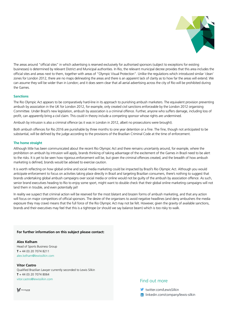

The areas around "official sites" in which advertising is reserved exclusively for authorised sponsors (subject to exceptions for existing businesses) is determined by relevant District and Municipal authorities. In Rio, the relevant municipal decree provides that this area includes the official sites and areas next to them, together with areas of "Olympic Visual Protection". Unlike the regulations which introduced similar 'clean' zones for London 2012, there are no maps delineating the areas and there is an apparent lack of clarity as to how far the areas will extend. We can assume they will be wider than in London; and it does seem clear that all aerial advertising across the city of Rio will be prohibited during the Games.

## **Sanctions**

The Rio Olympic Act appears to be comparatively hard-line in its approach to punishing ambush marketers. The equivalent provision preventing ambush by association in the UK for London 2012, for example, only created civil sanctions enforceable by the London 2012 organising Committee. Under Brazil's new legislation, ambush by association is a criminal offence. Further, anyone who suffers damage, including loss of profit, can apparently bring a civil claim. This could in theory include a competing sponsor whose rights are undermined.

Ambush by intrusion is also a criminal offence (as it was in London in 2012, albeit no prosecutions were brought).

Both ambush offences for Rio 2016 are punishable by three months to one year detention or a fine. The fine, though not anticipated to be substantial, will be defined by the judge according to the provisions of the Brazilian Criminal Code at the time of enforcement.

## **The home straight**

Although little has been communicated about the recent Rio Olympic Act and there remains uncertainly around, for example, where the prohibition on ambush by intrusion will apply, brands thinking of taking advantage of the excitement of the Games in Brazil need to be alert to the risks. It is yet to be seen how rigorous enforcement will be, but given the criminal offences created, and the breadth of how ambush marketing is defined, brands would be advised to exercise caution.

It is worth reflecting on how global online and social media marketing could be impacted by Brazil's Rio Olympic Act. Although you would anticipate enforcement to focus on activities taking place directly in Brazil and targeting Brazilian consumers, there's nothing to suggest that brands undertaking global ambush campaigns over social media or online would not be guilty of the ambush by association offence. As such, senior brand executives heading to Rio to enjoy some sport, might want to double check that their global online marketing campaigns will not land them in trouble, and even potentially jail!

In reality we suspect that criminal action will be reserved for the most blatant and brazen forms of ambush marketing, and that any action will focus on major competitors of official sponsors. The desire of the organisers to avoid negative headlines (and deny ambushers the media exposure they may crave) means that the full force of the Rio Olympic Act may not be felt. However, given the gravity of available sanctions, brands and their executives may feel that this is a tightrope (or should we say balance beam) which is too risky to walk.

## **For further information on this subject please contact:**

**Alex Kelham** Head of Sports Business Group **T** + 44 (0) 20 7074 8211 alex.kelham@lewissilkin.com

# **Vitor Castro**

Qualified Brazilian Lawyer currently seconded to Lewis Silkin **T** + 44 (0) 20 7074 8064 vitor.castro@lewissilkin.com **Find out more** 

VEIRANO

twitter.com/LewisSilkin

**in** linkedin.com/company/lewis-silkin